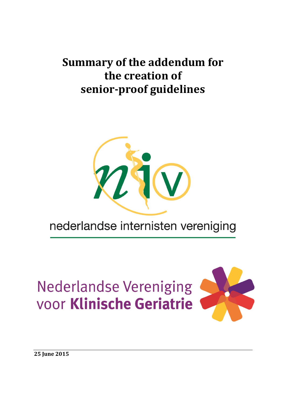# **Summary of the addendum for the creation of senior-proof guidelines**



# nederlandse internisten vereniging

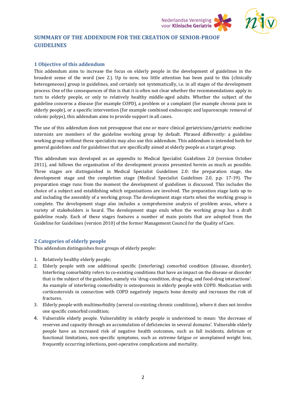

# **SUMMARY OF THE ADDENDUM FOR THE CREATION OF SENIOR-PROOF GUIDELINES**

## **1 Objective of this addendum**

This addendum aims to increase the focus on elderly people in the development of guidelines in the broadest sense of the word (see 2.). Up to now, too little attention has been paid to this (clinically heterogeneous) group in guidelines, and certainly not systematically, i.e. in all stages of the development process. One of the consequences of this is that it is often not clear whether the recommendations apply in turn to elderly people, or only to relatively healthy middle-aged adults. Whether the subject of the guideline concerns a disease (for example COPD), a problem or a complaint (for example chronic pain in elderly people), or a specific intervention (for example combined endoscopic and laparoscopic removal of colonic polyps), this addendum aims to provide support in all cases.

The use of this addendum does not presuppose that one or more clinical geriatricians/geriatric medicine internists are members of the guideline working group by default. Phrased differently: a guideline working group without these specialists may also use this addendum. This addendum is intended both for general guidelines and for guidelines that are specifically aimed at elderly people as a target group.

This addendum was developed as an appendix to Medical Specialist Guidelines 2.0 (version October 2011), and follows the organisation of the development process presented herein as much as possible. Three stages are distinguished in Medical Specialist Guidelines 2.0: the preparation stage, the development stage and the completion stage (Medical Specialist Guidelines 2.0, p.p. 17-19). The preparation stage runs from the moment the development of guidelines is discussed. This includes the choice of a subject and establishing which organisations are involved. The preparation stage lasts up to and including the assembly of a working group. The development stage starts when the working group is complete. The development stage also includes a comprehensive analysis of problem areas, where a variety of stakeholders is heard. The development stage ends when the working group has a draft guideline ready. Each of these stages features a number of main points that are adopted from the Guideline for Guidelines (version 2010) of the former Management Council for the Quality of Care.

#### **2 Categories of elderly people**

This addendum distinguishes four groups of elderly people:

- 1. Relatively healthy elderly people;
- 2. Elderly people with one additional specific (interfering) comorbid condition (disease, disorder). Interfering comorbidity refers to co-existing conditions that have an impact on the disease or disorder that is the subject of the guideline, namely via 'drug-condition, drug-drug, and food-drug interactions'. An example of interfering comorbidity is osteoporosis in elderly people with COPD. Medication with corticosteroids in connection with COPD negatively impacts bone density and increases the risk of fractures.
- 3. Elderly people with multimorbidity (several co-existing chronic conditions), where it does not involve one specific comorbid condition;
- 4. Vulnerable elderly people. Vulnerability in elderly people is understood to mean: 'the decrease of reserves and capacity through an accumulation of deficiencies in several domains'. Vulnerable elderly people have an increased risk of negative health outcomes, such as fall incidents, delirium or functional limitations, non-specific symptoms, such as extreme fatigue or unexplained weight loss, frequently occurring infections, post-operative complications and mortality.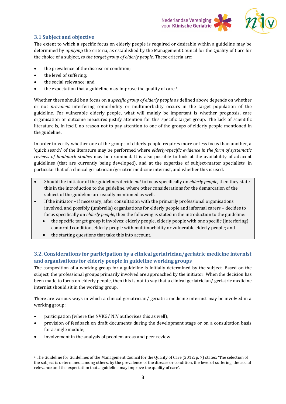

## **3.1 Subject and objective**

The extent to which a specific focus on elderly people is required or desirable within a guideline may be determined by *applying* the criteria, as established by the Management Council for the Quality of Care for the choice of a subject, *to the target group of elderly people*. These criteria are:

- the prevalence of the disease or condition;
- the level of suffering;
- the social relevance; and
- $\bullet$  the expectation that a guideline may improve the quality of care.<sup>1</sup>

Whether there should be a focus on a *specific group of elderly people* as defined above depends on whether or not *prevalent* interfering comorbidity or multimorbidity occurs in the target population of the guideline. For vulnerable elderly people, what will mainly be important is whether prognosis, care organisation or outcome measures justify attention for this specific target group. The lack of scientific literature is, in itself, no reason not to pay attention to one of the groups of elderly people mentioned in the guideline.

In order to verify whether one of the groups of elderly people requires more or less focus than another, a 'quick search' of the literature may be performed where *elderly-specific evidence in the form of systematic reviews of landmark studies* may be examined*.* It is also possible to look at the availability of adjacent guidelines (that are currently being developed), and at the expertise of subject-matter specialists, in particular that of a clinical geriatrician/geriatric medicine internist, and whether this is used.

- Should the initiator of the guidelines decide *not* to focus specifically on *elderly people*, then they state this in the introduction to the guideline, where other considerations for the demarcation of the subject of the guideline are usually mentioned as well.
- If the initiator if necessary, after consultation with the primarily professional organisations involved, and possibly (umbrella) organisations for elderly people and informal carers – decides to focus specifically on *elderly people*, then the following is stated in the introduction to the guideline:
	- the specific target group it involves: elderly people, elderly people with one specific (interfering) comorbid condition, elderly people with multimorbidity or vulnerable elderly people; and
	- the starting questions that take this into account.

# **3.2. Considerations for participation by a clinical geriatrician/geriatric medicine internist and organisations for elderly people in guideline working groups**

The composition of a working group for a guideline is initially determined by the subject. Based on the subject, the professional groups primarily involved are approached by the initiator. When the decision has been made to focus on elderly people, then this is not to say that a clinical geriatrician/ geriatric medicine internist should sit in the working group.

There are various ways in which a clinical geriatrician/ geriatric medicine internist may be involved in a working group:

- participation (where the NVKG/ NIV authorises this as well);
- provision of feedback on draft documents during the development stage or on a consultation basis for a single module;
- involvement in the analysis of problem areas and peer review.

 $\overline{\phantom{a}}$ 

<sup>1</sup> The Guideline for Guidelines of the Management Council for the Quality of Care (2012; p. 7) states: 'The selection of the subject is determined, among others, by the prevalence of the disease or condition, the level of suffering, the social relevance and the expectation that a guideline may improve the quality of care'.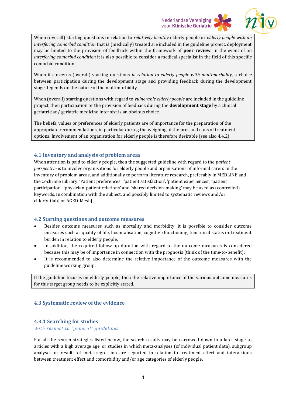## **Nederlandse Vereniging** voor Klinische Geriatrie



When (overall) starting questions in relation to *relatively healthy* elderly people or *elderly people with an interfering comorbid condition* that is (medically) treated are included in the guideline project, deployment may be limited to the provision of feedback within the framework of **peer review**. In the event of an *interfering comorbid condition* it is also possible to consider a medical specialist in the field of this specific comorbid condition.

When it concerns (overall) starting questions *in relation to elderly people with multimorbidity*, a choice between participation during the development stage and providing feedback during the development stage depends on the nature of the multimorbidity.

When (overall) starting questions with regard to *vulnerable elderly people* are included in the guideline project, then participation or the provision of feedback during the **development stage** by a clinical geriatrician/ geriatric medicine internist is an obvious choice.

The beliefs, values or preferences of elderly patients are of importance for the preparation of the appropriate recommendations, in particular during the weighing of the pros and cons of treatment options. Involvement of an organisation for elderly people is therefore desirable (see also 4.4.2).

## **4.1 Inventory and analysis of problem areas**

When attention is paid to elderly people, then the suggested guideline with regard to the *patient perspective* is to involve organisations for elderly people and organisations of informal carers in the inventory of problem areas, and additionally to perform literature research, preferably in MEDLINE and the Cochrane Library. 'Patient preferences', 'patient satisfaction', 'patient experiences', 'patient participation', 'physician-patient relations' and 'shared decision-making' may be used as (controlled) keywords, in combination with the subject, and possibly limited to systematic reviews and/or elderly[tiab] or AGED[Mesh].

#### **4.2 Starting questions and outcome measures**

- Besides outcome measures such as mortality and morbidity, it is possible to consider outcome measures such as quality of life, hospitalisation, cognitive functioning, functional status or treatment burden in relation to elderly people;
- In addition, the required follow-up duration with regard to the outcome measures is considered because this may be of importance in connection with the prognosis (think of the time-to-benefit);
- It is recommended to also determine the relative importance of the outcome measures with the guideline working group.

If the guideline focuses on elderly people, then the relative importance of the various outcome measures for this target group needs to be explicitly stated.

#### **4.3 Systematic review of the evidence**

## **4.3.1 Searching for studies**

#### *With respect to "general" guidelines*

For all the search strategies listed below, the search results may be narrowed down in a later stage to articles with a high average age, or studies in which meta-analyses (of individual patient data), subgroup analyses or results of meta-regression are reported in relation to treatment effect and interactions between treatment effect and comorbidity and/or age categories of elderly people.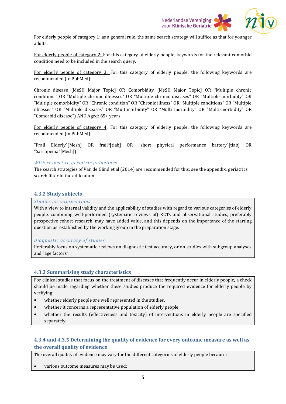

For elderly people of category 1: as a general rule, the same search strategy will suffice as that for younger adults.

For elderly people of category 2: For this category of elderly people, keywords for the relevant comorbid condition need to be included in the search query.

For elderly people of category 3: For this category of elderly people, the following keywords are recommended (in PubMed):

Chronic disease [MeSH Major Topic] OR Comorbidity [MeSH Major Topic] OR "Multiple chronic conditions" OR "Multiple chronic illnesses" OR "Multiple chronic diseases" OR "Multiple morbidity" OR "Multiple comorbidity" OR "Chronic condition" OR "Chronic illness" OR "Multiple conditions" OR "Multiple illnesses" OR "Multiple diseases" OR "Multimorbidity" OR "Multi morbidity" OR "Multi-morbidity" OR "Comorbid disease") AND Aged: 65+ years

For elderly people of category 4: For this category of elderly people, the following keywords are recommended (in PubMed):

"Frail Elderly"[Mesh] OR frail\*[tiab] OR "short physical performance battery"[tiab] OR "Sarcopenia"[Mesh])

#### *With respect to geriatric guidelines*

The search strategies of Van de Glind et al (2014) are recommended for this; see the appendix: geriatrics search filter in the addendum.

#### **4.3.2 Study subjects**

### *Studies on interventions*

With a view to internal validity and the applicability of studies with regard to various categories of elderly people, combining well-performed (systematic reviews of) RCTs and observational studies, preferably prospective cohort research, may have added value, and this depends on the importance of the starting question as established by the working group in the preparation stage.

#### *Diagnostic accuracy of studies*

Preferably focus on systematic reviews on diagnostic test accuracy, or on studies with subgroup analyses and "age factors".

#### **4.3.3 Summarising study characteristics**

For clinical studies that focus on the treatment of diseases that frequently occur in elderly people, a check should be made regarding whether these studies produce the required evidence for elderly people by verifying:

- whether elderly people are well represented in the studies,
- whether it concerns a representative population of elderly people,
- whether the results (effectiveness and toxicity) of interventions in elderly people are specified separately.

# **4.3.4 and 4.3.5 Determining the quality of evidence for every outcome measure as well as the overall quality of evidence**

The overall quality of evidence may vary for the different categories of elderly people because:

various outcome measures may be used;